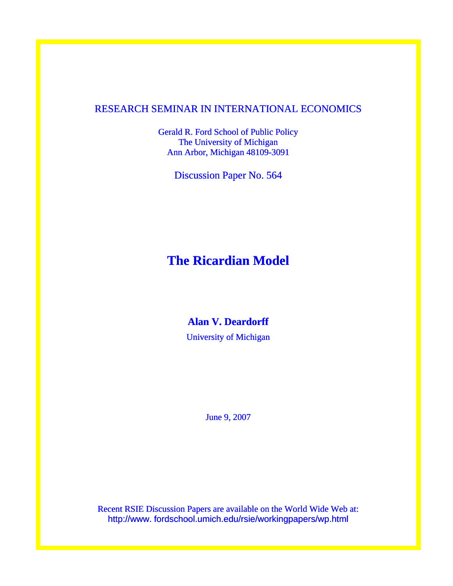## RESEARCH SEMINAR IN INTERNATIONAL ECONOMICS

Gerald R. Ford School of Public Policy The University of Michigan Ann Arbor, Michigan 48109-3091

Discussion Paper No. 564

# **The Ricardian Model**

## **Alan V. Deardorff**

University of Michigan

June 9, 2007

Recent RSIE Discussion Papers are available on the World Wide Web at: http://www. fordschool.umich.edu/rsie/workingpapers/wp.html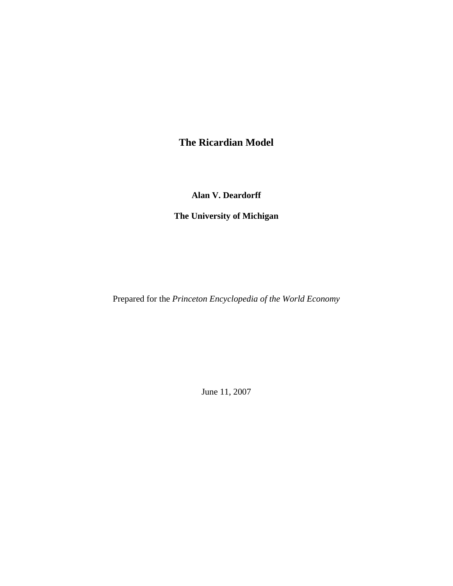**The Ricardian Model**

**Alan V. Deardorff** 

**The University of Michigan** 

Prepared for the *Princeton Encyclopedia of the World Economy*

June 11, 2007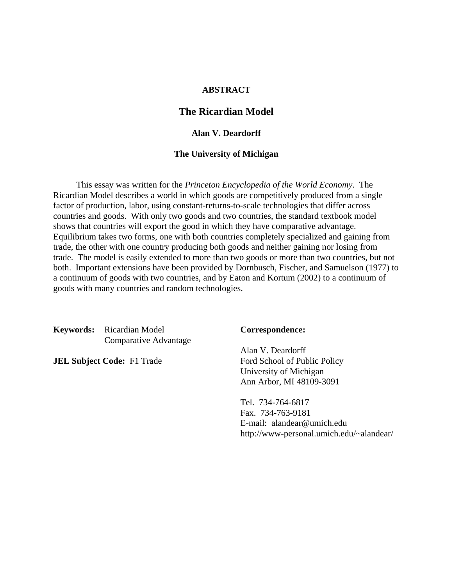## **ABSTRACT**

## **The Ricardian Model**

## **Alan V. Deardorff**

## **The University of Michigan**

 This essay was written for the *Princeton Encyclopedia of the World Economy*. The Ricardian Model describes a world in which goods are competitively produced from a single factor of production, labor, using constant-returns-to-scale technologies that differ across countries and goods. With only two goods and two countries, the standard textbook model shows that countries will export the good in which they have comparative advantage. Equilibrium takes two forms, one with both countries completely specialized and gaining from trade, the other with one country producing both goods and neither gaining nor losing from trade. The model is easily extended to more than two goods or more than two countries, but not both. Important extensions have been provided by Dornbusch, Fischer, and Samuelson (1977) to a continuum of goods with two countries, and by Eaton and Kortum (2002) to a continuum of goods with many countries and random technologies.

**Keywords:** Ricardian Model **Correspondence:** Comparative Advantage

Alan V. Deardorff **JEL Subject Code:** F1 Trade Ford School of Public Policy University of Michigan Ann Arbor, MI 48109-3091

> Tel. 734-764-6817 Fax. 734-763-9181 E-mail: alandear@umich.edu http://www-personal.umich.edu/~alandear/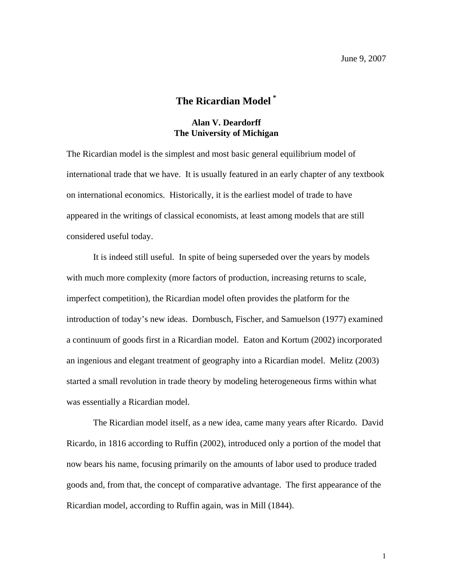## **The Ricardian Model [\\*](#page-3-0)**

## **Alan V. Deardorff The University of Michigan**

The Ricardian model is the simplest and most basic general equilibrium model of international trade that we have. It is usually featured in an early chapter of any textbook on international economics. Historically, it is the earliest model of trade to have appeared in the writings of classical economists, at least among models that are still considered useful today.

It is indeed still useful. In spite of being superseded over the years by models with much more complexity (more factors of production, increasing returns to scale, imperfect competition), the Ricardian model often provides the platform for the introduction of today's new ideas. Dornbusch, Fischer, and Samuelson (1977) examined a continuum of goods first in a Ricardian model. Eaton and Kortum (2002) incorporated an ingenious and elegant treatment of geography into a Ricardian model. Melitz (2003) started a small revolution in trade theory by modeling heterogeneous firms within what was essentially a Ricardian model.

<span id="page-3-0"></span>The Ricardian model itself, as a new idea, came many years after Ricardo. David Ricardo, in 1816 according to Ruffin (2002), introduced only a portion of the model that now bears his name, focusing primarily on the amounts of labor used to produce traded goods and, from that, the concept of comparative advantage. The first appearance of the Ricardian model, according to Ruffin again, was in Mill (1844).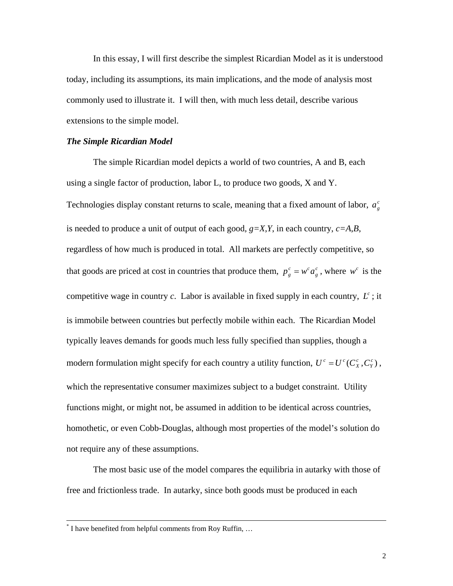In this essay, I will first describe the simplest Ricardian Model as it is understood today, including its assumptions, its main implications, and the mode of analysis most commonly used to illustrate it. I will then, with much less detail, describe various extensions to the simple model.

#### *The Simple Ricardian Model*

The simple Ricardian model depicts a world of two countries, A and B, each using a single factor of production, labor L, to produce two goods, X and Y. Technologies display constant returns to scale, meaning that a fixed amount of labor,  $a_g^c$ is needed to produce a unit of output of each good,  $g=X,Y$ , in each country,  $c=A,B$ , regardless of how much is produced in total. All markets are perfectly competitive, so that goods are priced at cost in countries that produce them,  $p_e^c = w^c a_e^c$ , where  $w^c$  is the competitive wage in country  $c$ . Labor is available in fixed supply in each country,  $L^c$ ; it is immobile between countries but perfectly mobile within each. The Ricardian Model typically leaves demands for goods much less fully specified than supplies, though a modern formulation might specify for each country a utility function,  $U^c = U^c(C_x^c, C_y^c)$ , which the representative consumer maximizes subject to a budget constraint. Utility functions might, or might not, be assumed in addition to be identical across countries, homothetic, or even Cobb-Douglas, although most properties of the model's solution do not require any of these assumptions.  $U^c = U^c(C_X^c, C_Y^c)$ *g*  $p_g^c = w^c a_g^c$ , where  $w^c$ 

The most basic use of the model compares the equilibria in autarky with those of free and frictionless trade. In autarky, since both goods must be produced in each

 $\overline{a}$ 

<sup>\*</sup> I have benefited from helpful comments from Roy Ruffin, …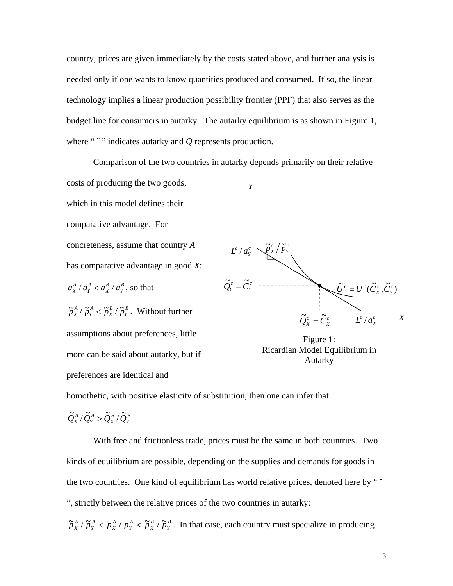country, prices are given immediately by the costs stated above, and further analysis is needed only if one wants to know quantities produced and consumed. If so, the linear technology implies a linear production possibility frontier (PPF) that also serves as the budget line for consumers in autarky. The autarky equilibrium is as shown in Figure 1, where "<sup> $\sim$ </sup>" indicates autarky and *Q* represents production.

Comparison of the two countries in autarky depends primarily on their relative costs of producing the two goods, which in this model defines their comparative advantage. For concreteness, assume that country *A* has comparative advantage in good *X*:  $\frac{B}{Y}$ , so that *B X A Y*  $a_X^A / a_Y^A < a_X^B / a$ *Y c Y*  $L^c / a$ *c c Y c*  $\tilde{p}_{x}^{c}/\tilde{p}$ 

*B Y B X A Y*  $\tilde{p}_{X}^{A}$  /  $\tilde{p}_{Y}^{A}$  <  $\tilde{p}_{X}^{B}$  /  $\tilde{p}_{Y}^{B}$ . Without further assumptions about preferences, little more can be said about autarky, but if preferences are identical and



Figure 1: Ricardian Model Equilibrium in Autarky

homothetic, with positive elasticity of substitution, then one can infer that

$$
\widetilde{Q}^{\scriptscriptstyle A}_{\scriptscriptstyle X}/\widetilde{Q}^{\scriptscriptstyle A}_{\scriptscriptstyle Y}>\widetilde{Q}^{\scriptscriptstyle B}_{\scriptscriptstyle X}/\widetilde{Q}^{\scriptscriptstyle B}_{\scriptscriptstyle Y}
$$

With free and frictionless trade, prices must be the same in both countries. Two kinds of equilibrium are possible, depending on the supplies and demands for goods in the two countries. One kind of equilibrium has world relative prices, denoted here by " ", strictly between the relative prices of the two countries in autarky:

*B Y B X A Y A X A Y*  $\tilde{p}_{X}^{A}$  /  $\tilde{p}_{Y}^{A}$  <  $\tilde{p}_{X}^{A}$  /  $\tilde{p}_{Y}^{B}$  /  $\tilde{p}_{Y}^{B}$  . In that case, each country must specialize in producing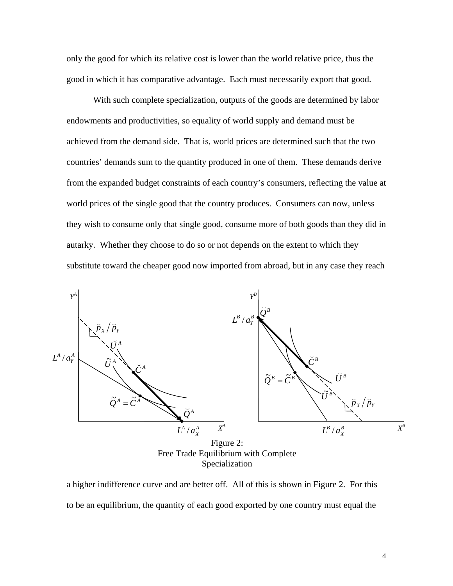only the good for which its relative cost is lower than the world relative price, thus the good in which it has comparative advantage. Each must necessarily export that good.

With such complete specialization, outputs of the goods are determined by labor endowments and productivities, so equality of world supply and demand must be achieved from the demand side. That is, world prices are determined such that the two countries' demands sum to the quantity produced in one of them. These demands derive from the expanded budget constraints of each country's consumers, reflecting the value at world prices of the single good that the country produces. Consumers can now, unless they wish to consume only that single good, consume more of both goods than they did in autarky. Whether they choose to do so or not depends on the extent to which they substitute toward the cheaper good now imported from abroad, but in any case they reach



a higher indifference curve and are better off. All of this is shown in Figure 2. For this to be an equilibrium, the quantity of each good exported by one country must equal the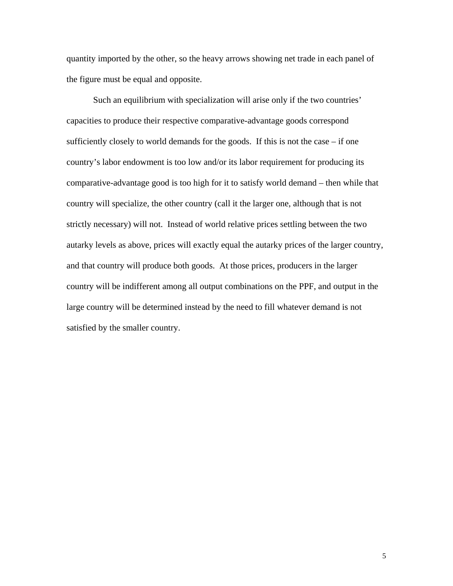quantity imported by the other, so the heavy arrows showing net trade in each panel of the figure must be equal and opposite.

Such an equilibrium with specialization will arise only if the two countries' capacities to produce their respective comparative-advantage goods correspond sufficiently closely to world demands for the goods. If this is not the case – if one country's labor endowment is too low and/or its labor requirement for producing its comparative-advantage good is too high for it to satisfy world demand – then while that country will specialize, the other country (call it the larger one, although that is not strictly necessary) will not. Instead of world relative prices settling between the two autarky levels as above, prices will exactly equal the autarky prices of the larger country, and that country will produce both goods. At those prices, producers in the larger country will be indifferent among all output combinations on the PPF, and output in the large country will be determined instead by the need to fill whatever demand is not satisfied by the smaller country.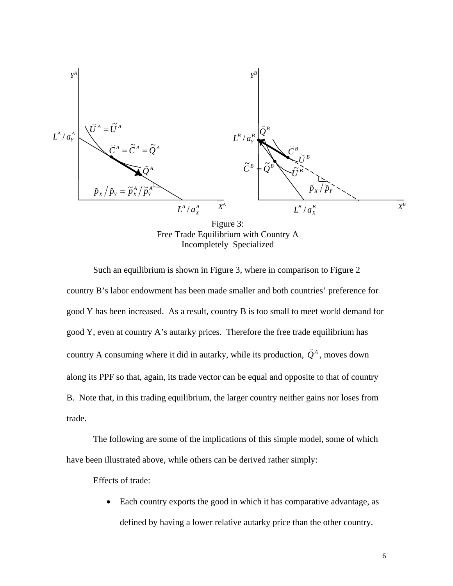

Figure 3: Free Trade Equilibrium with Country A Incompletely Specialized

Such an equilibrium is shown in Figure 3, where in comparison to Figure 2 country B's labor endowment has been made smaller and both countries' preference for good Y has been increased. As a result, country B is too small to meet world demand for good Y, even at country A's autarky prices. Therefore the free trade equilibrium has country A consuming where it did in autarky, while its production,  $\check{Q}^A$ , moves down along its PPF so that, again, its trade vector can be equal and opposite to that of country B. Note that, in this trading equilibrium, the larger country neither gains nor loses from trade.

The following are some of the implications of this simple model, some of which have been illustrated above, while others can be derived rather simply:

Effects of trade:

• Each country exports the good in which it has comparative advantage, as defined by having a lower relative autarky price than the other country.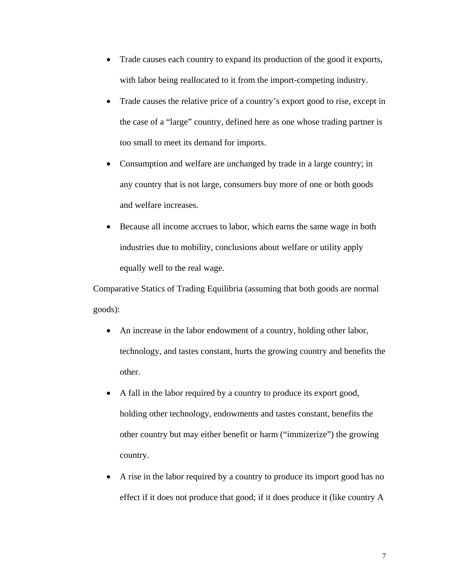- Trade causes each country to expand its production of the good it exports, with labor being reallocated to it from the import-competing industry.
- Trade causes the relative price of a country's export good to rise, except in the case of a "large" country, defined here as one whose trading partner is too small to meet its demand for imports.
- Consumption and welfare are unchanged by trade in a large country; in any country that is not large, consumers buy more of one or both goods and welfare increases.
- Because all income accrues to labor, which earns the same wage in both industries due to mobility, conclusions about welfare or utility apply equally well to the real wage.

Comparative Statics of Trading Equilibria (assuming that both goods are normal goods):

- An increase in the labor endowment of a country, holding other labor, technology, and tastes constant, hurts the growing country and benefits the other.
- A fall in the labor required by a country to produce its export good, holding other technology, endowments and tastes constant, benefits the other country but may either benefit or harm ("immizerize") the growing country.
- A rise in the labor required by a country to produce its import good has no effect if it does not produce that good; if it does produce it (like country A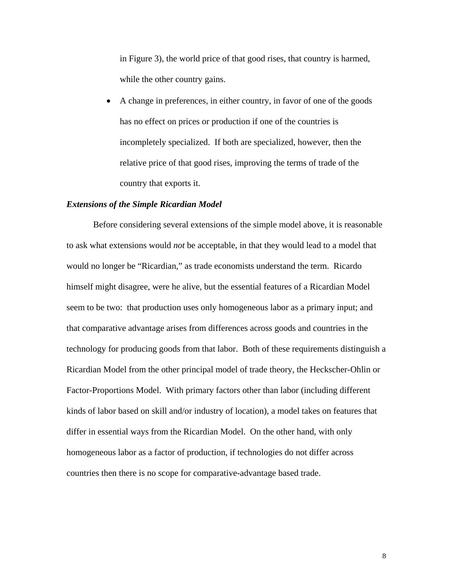in Figure 3), the world price of that good rises, that country is harmed, while the other country gains.

• A change in preferences, in either country, in favor of one of the goods has no effect on prices or production if one of the countries is incompletely specialized. If both are specialized, however, then the relative price of that good rises, improving the terms of trade of the country that exports it.

## *Extensions of the Simple Ricardian Model*

Before considering several extensions of the simple model above, it is reasonable to ask what extensions would *not* be acceptable, in that they would lead to a model that would no longer be "Ricardian," as trade economists understand the term. Ricardo himself might disagree, were he alive, but the essential features of a Ricardian Model seem to be two: that production uses only homogeneous labor as a primary input; and that comparative advantage arises from differences across goods and countries in the technology for producing goods from that labor. Both of these requirements distinguish a Ricardian Model from the other principal model of trade theory, the Heckscher-Ohlin or Factor-Proportions Model. With primary factors other than labor (including different kinds of labor based on skill and/or industry of location), a model takes on features that differ in essential ways from the Ricardian Model. On the other hand, with only homogeneous labor as a factor of production, if technologies do not differ across countries then there is no scope for comparative-advantage based trade.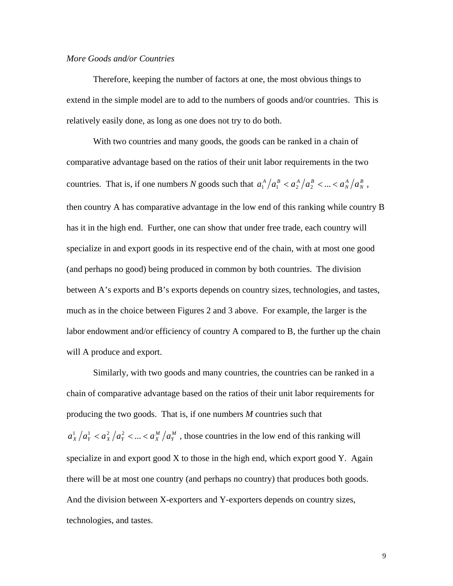## *More Goods and/or Countries*

 Therefore, keeping the number of factors at one, the most obvious things to extend in the simple model are to add to the numbers of goods and/or countries. This is relatively easily done, as long as one does not try to do both.

With two countries and many goods, the goods can be ranked in a chain of comparative advantage based on the ratios of their unit labor requirements in the two countries. That is, if one numbers *N* goods such that  $a_1^A/a_1^B < a_2^A/a_2^B < ... < a_N^A/a_N^B$ *A N*  $a_1^A / a_1^B < a_2^A / a_2^B < ... < a_N^A / a_N^B$ , then country A has comparative advantage in the low end of this ranking while country B has it in the high end. Further, one can show that under free trade, each country will specialize in and export goods in its respective end of the chain, with at most one good (and perhaps no good) being produced in common by both countries. The division between A's exports and B's exports depends on country sizes, technologies, and tastes, much as in the choice between Figures 2 and 3 above. For example, the larger is the labor endowment and/or efficiency of country A compared to B, the further up the chain will A produce and export.

Similarly, with two goods and many countries, the countries can be ranked in a chain of comparative advantage based on the ratios of their unit labor requirements for producing the two goods. That is, if one numbers *M* countries such that *M Y*  $a_X^1/a_Y^1 < a_X^2/a_Y^2 < ... < a_X^M/a_Y^M$ , those countries in the low end of this ranking will specialize in and export good X to those in the high end, which export good Y. Again there will be at most one country (and perhaps no country) that produces both goods. And the division between X-exporters and Y-exporters depends on country sizes, technologies, and tastes.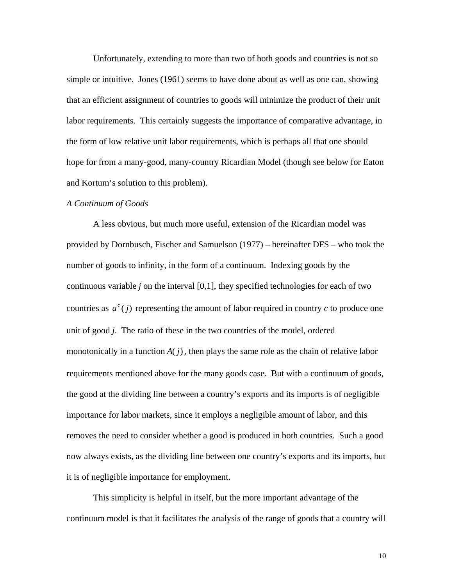Unfortunately, extending to more than two of both goods and countries is not so simple or intuitive. Jones (1961) seems to have done about as well as one can, showing that an efficient assignment of countries to goods will minimize the product of their unit labor requirements. This certainly suggests the importance of comparative advantage, in the form of low relative unit labor requirements, which is perhaps all that one should hope for from a many-good, many-country Ricardian Model (though see below for Eaton and Kortum's solution to this problem).

#### *A Continuum of Goods*

A less obvious, but much more useful, extension of the Ricardian model was provided by Dornbusch, Fischer and Samuelson (1977) – hereinafter DFS – who took the number of goods to infinity, in the form of a continuum. Indexing goods by the continuous variable *j* on the interval [0,1], they specified technologies for each of two countries as  $a^c(j)$  representing the amount of labor required in country *c* to produce one unit of good *j*. The ratio of these in the two countries of the model, ordered monotonically in a function  $A(j)$ , then plays the same role as the chain of relative labor requirements mentioned above for the many goods case. But with a continuum of goods, the good at the dividing line between a country's exports and its imports is of negligible importance for labor markets, since it employs a negligible amount of labor, and this removes the need to consider whether a good is produced in both countries. Such a good now always exists, as the dividing line between one country's exports and its imports, but it is of negligible importance for employment.

This simplicity is helpful in itself, but the more important advantage of the continuum model is that it facilitates the analysis of the range of goods that a country will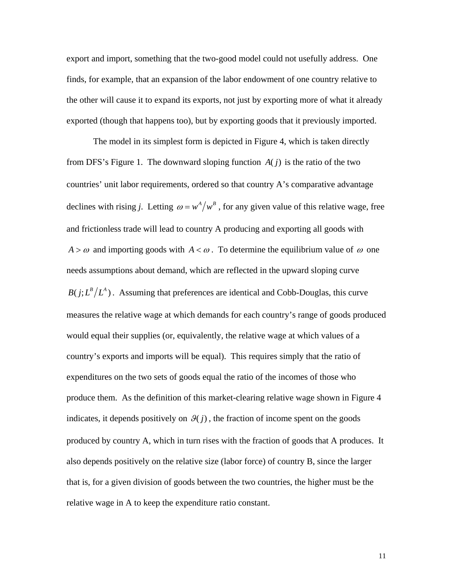export and import, something that the two-good model could not usefully address. One finds, for example, that an expansion of the labor endowment of one country relative to the other will cause it to expand its exports, not just by exporting more of what it already exported (though that happens too), but by exporting goods that it previously imported.

The model in its simplest form is depicted in Figure 4, which is taken directly from DFS's Figure 1. The downward sloping function  $A(j)$  is the ratio of the two countries' unit labor requirements, ordered so that country A's comparative advantage declines with rising *j*. Letting  $\omega = w^A/w^B$ , for any given value of this relative wage, free and frictionless trade will lead to country A producing and exporting all goods with  $A > \omega$  and importing goods with  $A < \omega$ . To determine the equilibrium value of  $\omega$  one needs assumptions about demand, which are reflected in the upward sloping curve  $B(j ; L^B/L^A)$ . Assuming that preferences are identical and Cobb-Douglas, this curve measures the relative wage at which demands for each country's range of goods produced would equal their supplies (or, equivalently, the relative wage at which values of a country's exports and imports will be equal). This requires simply that the ratio of expenditures on the two sets of goods equal the ratio of the incomes of those who produce them. As the definition of this market-clearing relative wage shown in Figure 4 indicates, it depends positively on  $\mathcal{G}(j)$ , the fraction of income spent on the goods produced by country A, which in turn rises with the fraction of goods that A produces. It also depends positively on the relative size (labor force) of country B, since the larger that is, for a given division of goods between the two countries, the higher must be the relative wage in A to keep the expenditure ratio constant.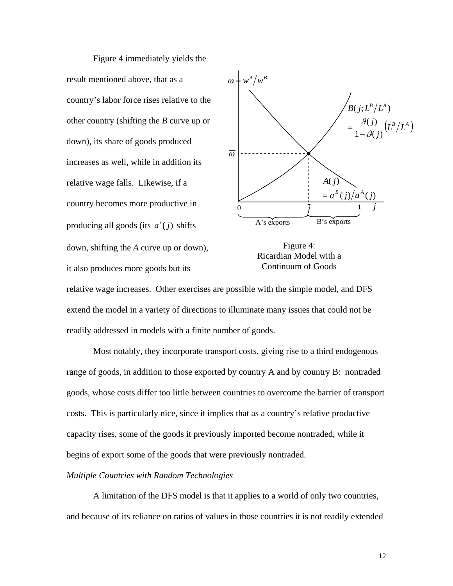Figure 4 immediately yields the result mentioned above, that as a country's labor force rises relative to the other country (shifting the *B* curve up or down), its share of goods produced increases as well, while in addition its relative wage falls. Likewise, if a country becomes more productive in producing all goods (its  $a^i(j)$  shifts down, shifting the *A* curve up or down), it also produces more goods but its



Figure 4: Ricardian Model with a Continuum of Goods

relative wage increases. Other exercises are possible with the simple model, and DFS extend the model in a variety of directions to illuminate many issues that could not be readily addressed in models with a finite number of goods.

Most notably, they incorporate transport costs, giving rise to a third endogenous range of goods, in addition to those exported by country A and by country B: nontraded goods, whose costs differ too little between countries to overcome the barrier of transport costs. This is particularly nice, since it implies that as a country's relative productive capacity rises, some of the goods it previously imported become nontraded, while it begins of export some of the goods that were previously nontraded.

### *Multiple Countries with Random Technologies*

A limitation of the DFS model is that it applies to a world of only two countries, and because of its reliance on ratios of values in those countries it is not readily extended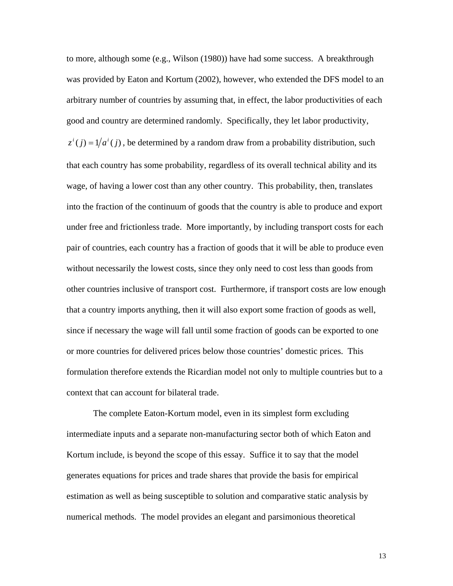to more, although some (e.g., Wilson (1980)) have had some success. A breakthrough was provided by Eaton and Kortum (2002), however, who extended the DFS model to an arbitrary number of countries by assuming that, in effect, the labor productivities of each good and country are determined randomly. Specifically, they let labor productivity,  $z^{i}(j) = 1/a^{i}(j)$ , be determined by a random draw from a probability distribution, such that each country has some probability, regardless of its overall technical ability and its wage, of having a lower cost than any other country. This probability, then, translates into the fraction of the continuum of goods that the country is able to produce and export under free and frictionless trade. More importantly, by including transport costs for each pair of countries, each country has a fraction of goods that it will be able to produce even without necessarily the lowest costs, since they only need to cost less than goods from other countries inclusive of transport cost. Furthermore, if transport costs are low enough that a country imports anything, then it will also export some fraction of goods as well, since if necessary the wage will fall until some fraction of goods can be exported to one or more countries for delivered prices below those countries' domestic prices. This formulation therefore extends the Ricardian model not only to multiple countries but to a context that can account for bilateral trade.

The complete Eaton-Kortum model, even in its simplest form excluding intermediate inputs and a separate non-manufacturing sector both of which Eaton and Kortum include, is beyond the scope of this essay. Suffice it to say that the model generates equations for prices and trade shares that provide the basis for empirical estimation as well as being susceptible to solution and comparative static analysis by numerical methods. The model provides an elegant and parsimonious theoretical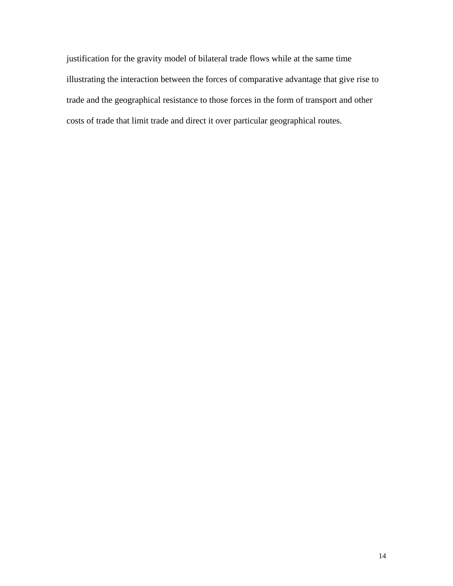justification for the gravity model of bilateral trade flows while at the same time illustrating the interaction between the forces of comparative advantage that give rise to trade and the geographical resistance to those forces in the form of transport and other costs of trade that limit trade and direct it over particular geographical routes.